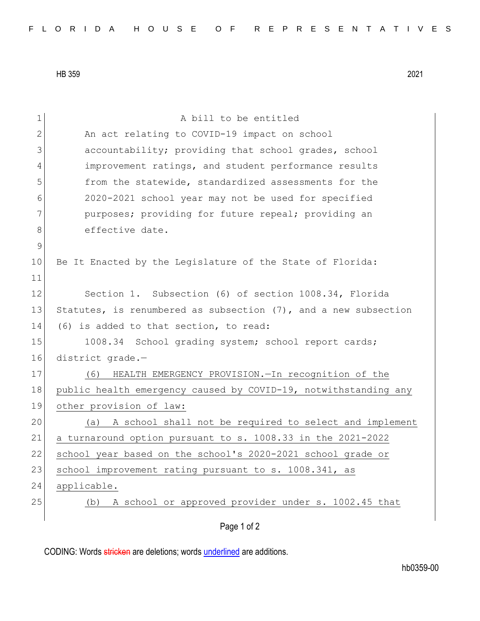HB 359 2021

| 1            | A bill to be entitled                                           |
|--------------|-----------------------------------------------------------------|
| $\mathbf{2}$ | An act relating to COVID-19 impact on school                    |
| 3            | accountability; providing that school grades, school            |
| 4            | improvement ratings, and student performance results            |
| 5            | from the statewide, standardized assessments for the            |
| 6            | 2020-2021 school year may not be used for specified             |
| 7            | purposes; providing for future repeal; providing an             |
| 8            | effective date.                                                 |
| $\mathsf 9$  |                                                                 |
| 10           | Be It Enacted by the Legislature of the State of Florida:       |
| 11           |                                                                 |
| 12           | Section 1. Subsection (6) of section 1008.34, Florida           |
| 13           | Statutes, is renumbered as subsection (7), and a new subsection |
| 14           | (6) is added to that section, to read:                          |
| 15           | 1008.34 School grading system; school report cards;             |
| 16           | district grade.-                                                |
| 17           | HEALTH EMERGENCY PROVISION. - In recognition of the<br>(6)      |
| 18           | public health emergency caused by COVID-19, notwithstanding any |
| 19           | other provision of law:                                         |
| 20           | A school shall not be required to select and implement<br>(a)   |
| 21           | a turnaround option pursuant to s. 1008.33 in the 2021-2022     |
| 22           | school year based on the school's 2020-2021 school grade or     |
| 23           | school improvement rating pursuant to s. 1008.341, as           |
| 24           | applicable.                                                     |
| 25           | A school or approved provider under s. 1002.45 that<br>(b)      |
|              | Page 1 of 2                                                     |

CODING: Words stricken are deletions; words underlined are additions.